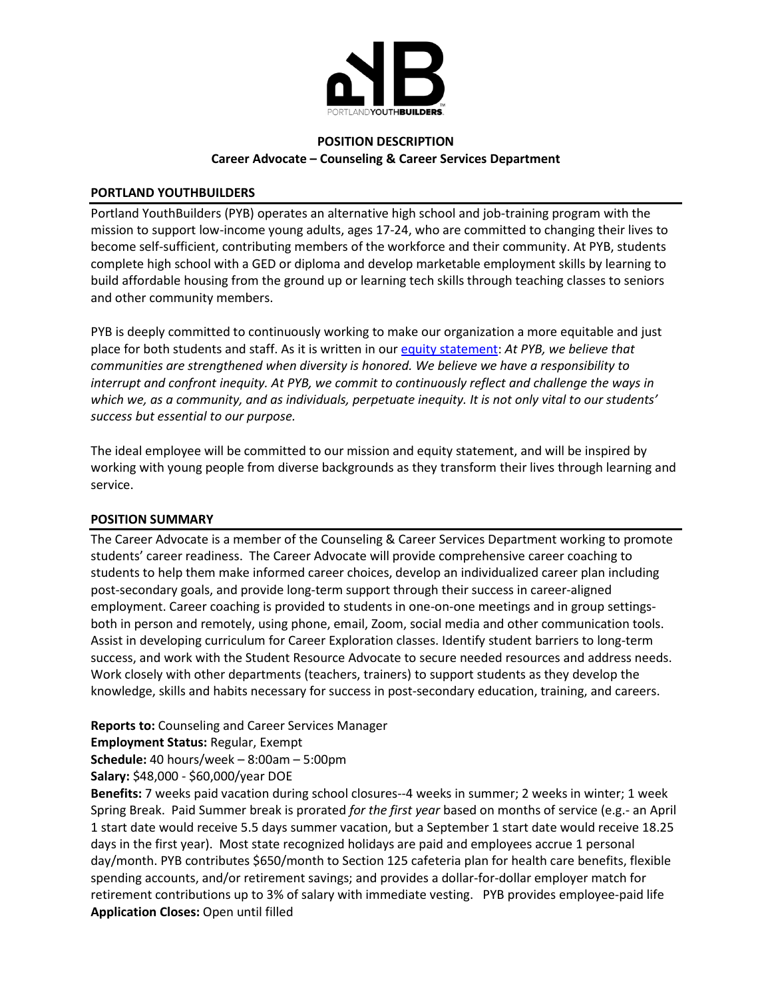

# **POSITION DESCRIPTION Career Advocate – Counseling & Career Services Department**

### **PORTLAND YOUTHBUILDERS**

Portland YouthBuilders (PYB) operates an alternative high school and job-training program with the mission to support low-income young adults, ages 17-24, who are committed to changing their lives to become self-sufficient, contributing members of the workforce and their community. At PYB, students complete high school with a GED or diploma and develop marketable employment skills by learning to build affordable housing from the ground up or learning tech skills through teaching classes to seniors and other community members.

PYB is deeply committed to continuously working to make our organization a more equitable and just place for both students and staff. As it is written in our [equity statement:](http://pybpdx.org/about/equity) *At PYB, we believe that communities are strengthened when diversity is honored. We believe we have a responsibility to interrupt and confront inequity. At PYB, we commit to continuously reflect and challenge the ways in which we, as a community, and as individuals, perpetuate inequity. It is not only vital to our students' success but essential to our purpose.*

The ideal employee will be committed to our mission and equity statement, and will be inspired by working with young people from diverse backgrounds as they transform their lives through learning and service.

#### **POSITION SUMMARY**

The Career Advocate is a member of the Counseling & Career Services Department working to promote students' career readiness. The Career Advocate will provide comprehensive career coaching to students to help them make informed career choices, develop an individualized career plan including post-secondary goals, and provide long-term support through their success in career-aligned employment. Career coaching is provided to students in one-on-one meetings and in group settingsboth in person and remotely, using phone, email, Zoom, social media and other communication tools. Assist in developing curriculum for Career Exploration classes. Identify student barriers to long-term success, and work with the Student Resource Advocate to secure needed resources and address needs. Work closely with other departments (teachers, trainers) to support students as they develop the knowledge, skills and habits necessary for success in post-secondary education, training, and careers.

**Reports to:** Counseling and Career Services Manager

**Employment Status:** Regular, Exempt

**Schedule:** 40 hours/week – 8:00am – 5:00pm

**Salary:** \$48,000 - \$60,000/year DOE

**Benefits:** 7 weeks paid vacation during school closures--4 weeks in summer; 2 weeks in winter; 1 week Spring Break. Paid Summer break is prorated *for the first year* based on months of service (e.g.- an April 1 start date would receive 5.5 days summer vacation, but a September 1 start date would receive 18.25 days in the first year). Most state recognized holidays are paid and employees accrue 1 personal day/month. PYB contributes \$650/month to Section 125 cafeteria plan for health care benefits, flexible spending accounts, and/or retirement savings; and provides a dollar-for-dollar employer match for retirement contributions up to 3% of salary with immediate vesting. PYB provides employee-paid life **Application Closes:** Open until filled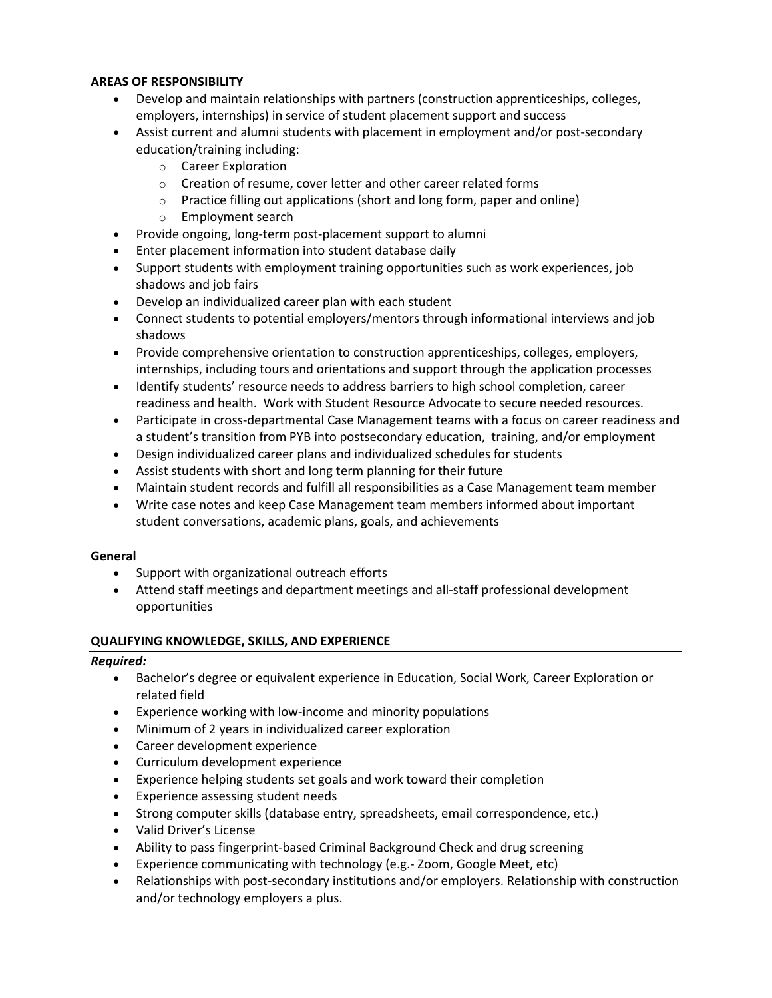### **AREAS OF RESPONSIBILITY**

- Develop and maintain relationships with partners (construction apprenticeships, colleges, employers, internships) in service of student placement support and success
- Assist current and alumni students with placement in employment and/or post-secondary education/training including:
	- o Career Exploration
	- o Creation of resume, cover letter and other career related forms
	- o Practice filling out applications (short and long form, paper and online)
	- o Employment search
- Provide ongoing, long-term post-placement support to alumni
- Enter placement information into student database daily
- Support students with employment training opportunities such as work experiences, job shadows and job fairs
- Develop an individualized career plan with each student
- Connect students to potential employers/mentors through informational interviews and job shadows
- Provide comprehensive orientation to construction apprenticeships, colleges, employers, internships, including tours and orientations and support through the application processes
- Identify students' resource needs to address barriers to high school completion, career readiness and health. Work with Student Resource Advocate to secure needed resources.
- Participate in cross-departmental Case Management teams with a focus on career readiness and a student's transition from PYB into postsecondary education, training, and/or employment
- Design individualized career plans and individualized schedules for students
- Assist students with short and long term planning for their future
- Maintain student records and fulfill all responsibilities as a Case Management team member
- Write case notes and keep Case Management team members informed about important student conversations, academic plans, goals, and achievements

# **General**

- Support with organizational outreach efforts
- Attend staff meetings and department meetings and all-staff professional development opportunities

# **QUALIFYING KNOWLEDGE, SKILLS, AND EXPERIENCE**

#### *Required:*

- Bachelor's degree or equivalent experience in Education, Social Work, Career Exploration or related field
- Experience working with low-income and minority populations
- Minimum of 2 years in individualized career exploration
- Career development experience
- Curriculum development experience
- Experience helping students set goals and work toward their completion
- Experience assessing student needs
- Strong computer skills (database entry, spreadsheets, email correspondence, etc.)
- Valid Driver's License
- Ability to pass fingerprint-based Criminal Background Check and drug screening
- Experience communicating with technology (e.g.- Zoom, Google Meet, etc)
- Relationships with post-secondary institutions and/or employers. Relationship with construction and/or technology employers a plus.